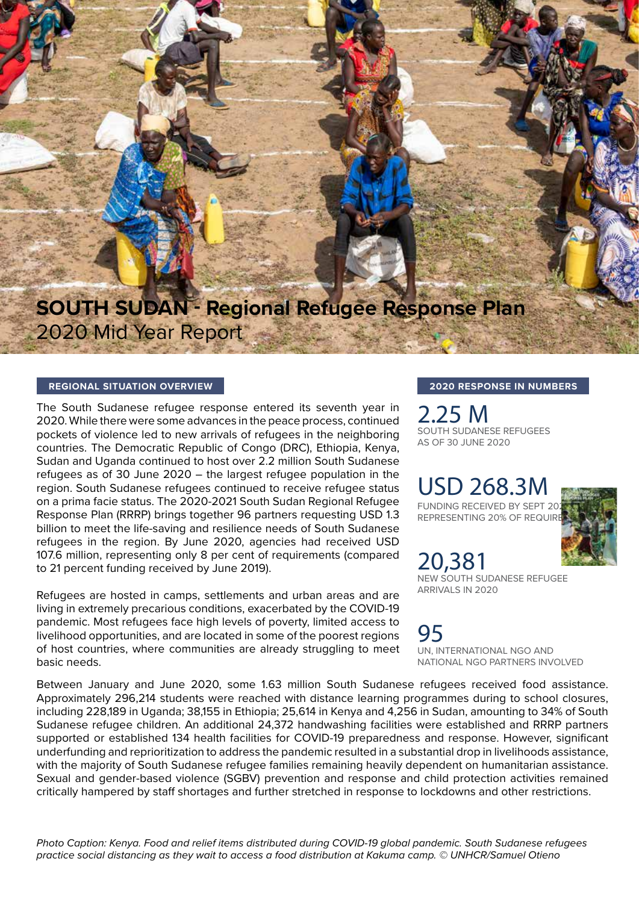## **SOUTH SUDAN - Regional Refugee Response Plan** 2020 Mid Year Report

#### **REGIONAL SITUATION OVERVIEW**

The South Sudanese refugee response entered its seventh year in 2020. While there were some advances in the peace process, continued pockets of violence led to new arrivals of refugees in the neighboring countries. The Democratic Republic of Congo (DRC), Ethiopia, Kenya, Sudan and Uganda continued to host over 2.2 million South Sudanese refugees as of 30 June 2020 – the largest refugee population in the region. South Sudanese refugees continued to receive refugee status on a prima facie status. The 2020-2021 South Sudan Regional Refugee Response Plan (RRRP) brings together 96 partners requesting USD 1.3 billion to meet the life-saving and resilience needs of South Sudanese refugees in the region. By June 2020, agencies had received USD 107.6 million, representing only 8 per cent of requirements (compared to 21 percent funding received by June 2019).

Refugees are hosted in camps, settlements and urban areas and are living in extremely precarious conditions, exacerbated by the COVID-19 pandemic. Most refugees face high levels of poverty, limited access to livelihood opportunities, and are located in some of the poorest regions of host countries, where communities are already struggling to meet basic needs.

**2020 RESPONSE IN NUMBERS**

2.25 M SOUTH SUDANESE REFUGEES AS OF 30 JUNE 2020

## USD 268.3M

FUNDING RECEIVED BY SEPT 20 REPRESENTING 20% OF REQUIR



20,381 NEW SOUTH SUDANESE REFUGEE ARRIVALS IN 2020

95 UN, INTERNATIONAL NGO AND NATIONAL NGO PARTNERS INVOLVED

Between January and June 2020, some 1.63 million South Sudanese refugees received food assistance. Approximately 296,214 students were reached with distance learning programmes during to school closures, including 228,189 in Uganda; 38,155 in Ethiopia; 25,614 in Kenya and 4,256 in Sudan, amounting to 34% of South Sudanese refugee children. An additional 24,372 handwashing facilities were established and RRRP partners supported or established 134 health facilities for COVID-19 preparedness and response. However, significant underfunding and reprioritization to address the pandemic resulted in a substantial drop in livelihoods assistance, with the majority of South Sudanese refugee families remaining heavily dependent on humanitarian assistance. Sexual and gender-based violence (SGBV) prevention and response and child protection activities remained critically hampered by staff shortages and further stretched in response to lockdowns and other restrictions.

*Photo Caption: Kenya. Food and relief items distributed during COVID-19 global pandemic. South Sudanese refugees practice social distancing as they wait to access a food distribution at Kakuma camp. © UNHCR/Samuel Otieno*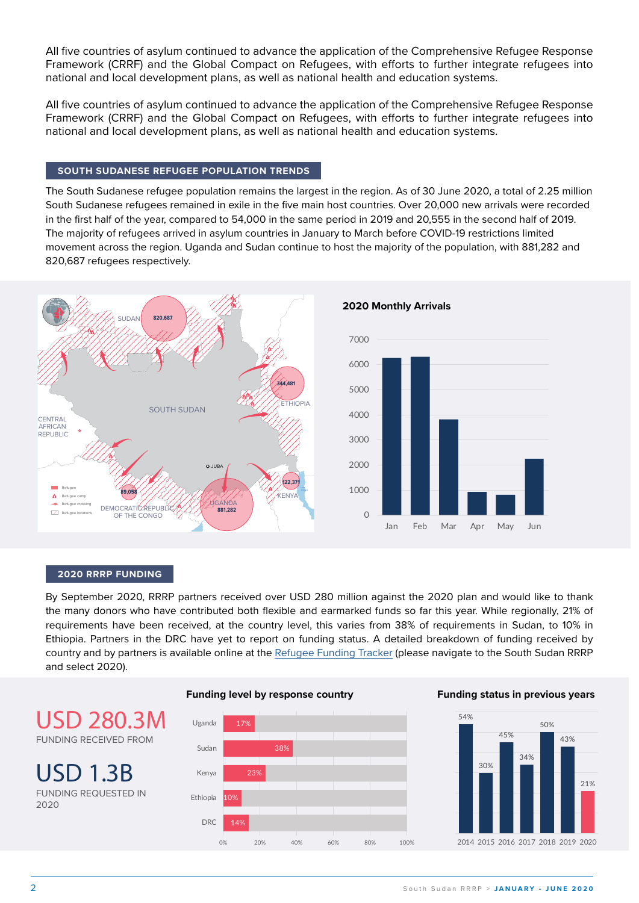All five countries of asylum continued to advance the application of the Comprehensive Refugee Response Framework (CRRF) and the Global Compact on Refugees, with efforts to further integrate refugees into national and local development plans, as well as national health and education systems.

All five countries of asylum continued to advance the application of the Comprehensive Refugee Response Framework (CRRF) and the Global Compact on Refugees, with efforts to further integrate refugees into national and local development plans, as well as national health and education systems.

#### **SOUTH SUDANESE REFUGEE POPULATION TRENDS**

The South Sudanese refugee population remains the largest in the region. As of 30 June 2020, a total of 2.25 million South Sudanese refugees remained in exile in the five main host countries. Over 20,000 new arrivals were recorded in the first half of the year, compared to 54,000 in the same period in 2019 and 20,555 in the second half of 2019. The majority of refugees arrived in asylum countries in January to March before COVID-19 restrictions limited movement across the region. Uganda and Sudan continue to host the majority of the population, with 881,282 and 820,687 refugees respectively.



#### 2.2 M **2020 RRRP FUNDING**

the many donors who have contributed both flexible and earmarked funds so far this year. While regionally, 21% of By September 2020, RRRP partners received over USD 280 million against the 2020 plan and would like to thank requirements have been received, at the country level, this varies from 38% of requirements in Sudan, to 10% in Ethiopia. Partners in the DRC have yet to report on funding status. A detailed breakdown of funding received by country and by partners is available online at the [Refugee Funding Tracker](http://refugee-funding-tracker.org) (please navigate to the South Sudan RRRP and select 2020).

## USD 280.3M FUNDING RECEIVED FROM

USD 1.3B FUNDING REQUESTED IN 2020



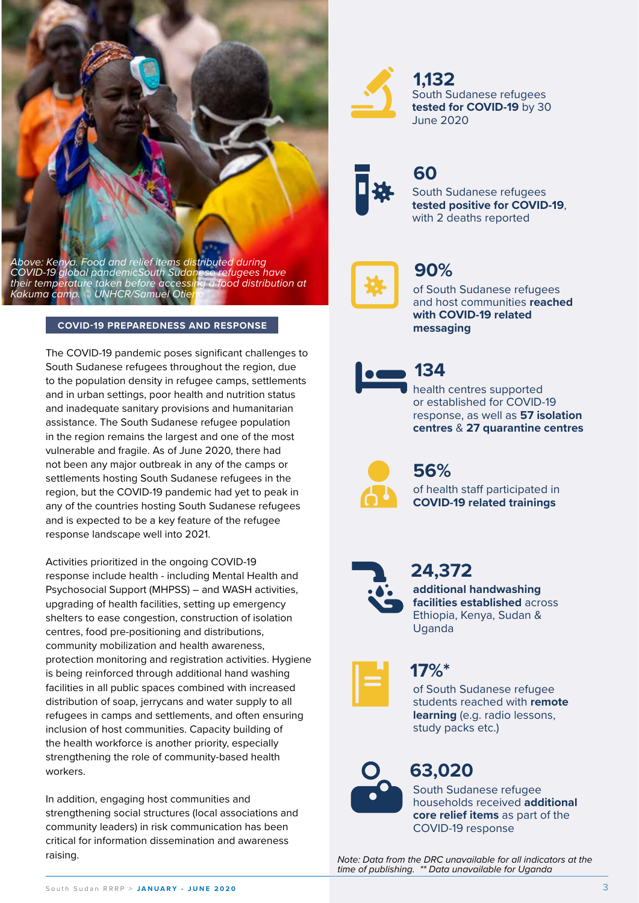

South Sudanese refugees **tested for COVID-19** by 30 June 2020 **1,132**



## **60**

South Sudanese refugees **tested positive for COVID-19**, with 2 deaths reported



## **90%**

of South Sudanese refugees and host communities **reached with COVID-19 related messaging**



health centres supported or established for COVID-19 response, as well as **57 isolation centres** & **27 quarantine centres 134**

of health staff participated in **COVID-19 related trainings 56%**



**24,372**

**additional handwashing facilities established** across Ethiopia, Kenya, Sudan & Uganda



of South Sudanese refugee students reached with **remote learning** (e.g. radio lessons, study packs etc.) **17%\***



# **63,020**

South Sudanese refugee households received **additional core relief items** as part of the COVID-19 response

*Note: Data from the DRC unavailable for all indicators at the time of publishing. \*\* Data unavailable for Uganda*

*Above: Kenya. Food and relief items distributed during COVID-19 global pandemicSouth Sudanese refugees have their temperature taken before accessing a food distribution at Kakuma camp. © UNHCR/Samuel Otieno*

#### **COVID-19 PREPAREDNESS AND RESPONSE**

The COVID-19 pandemic poses significant challenges to South Sudanese refugees throughout the region, due to the population density in refugee camps, settlements and in urban settings, poor health and nutrition status and inadequate sanitary provisions and humanitarian assistance. The South Sudanese refugee population in the region remains the largest and one of the most vulnerable and fragile. As of June 2020, there had not been any major outbreak in any of the camps or settlements hosting South Sudanese refugees in the region, but the COVID-19 pandemic had yet to peak in any of the countries hosting South Sudanese refugees and is expected to be a key feature of the refugee response landscape well into 2021.

Activities prioritized in the ongoing COVID-19 response include health - including Mental Health and Psychosocial Support (MHPSS) – and WASH activities, upgrading of health facilities, setting up emergency shelters to ease congestion, construction of isolation centres, food pre-positioning and distributions, community mobilization and health awareness, protection monitoring and registration activities. Hygiene is being reinforced through additional hand washing facilities in all public spaces combined with increased distribution of soap, jerrycans and water supply to all refugees in camps and settlements, and often ensuring inclusion of host communities. Capacity building of the health workforce is another priority, especially strengthening the role of community-based health workers.

In addition, engaging host communities and strengthening social structures (local associations and community leaders) in risk communication has been critical for information dissemination and awareness raising.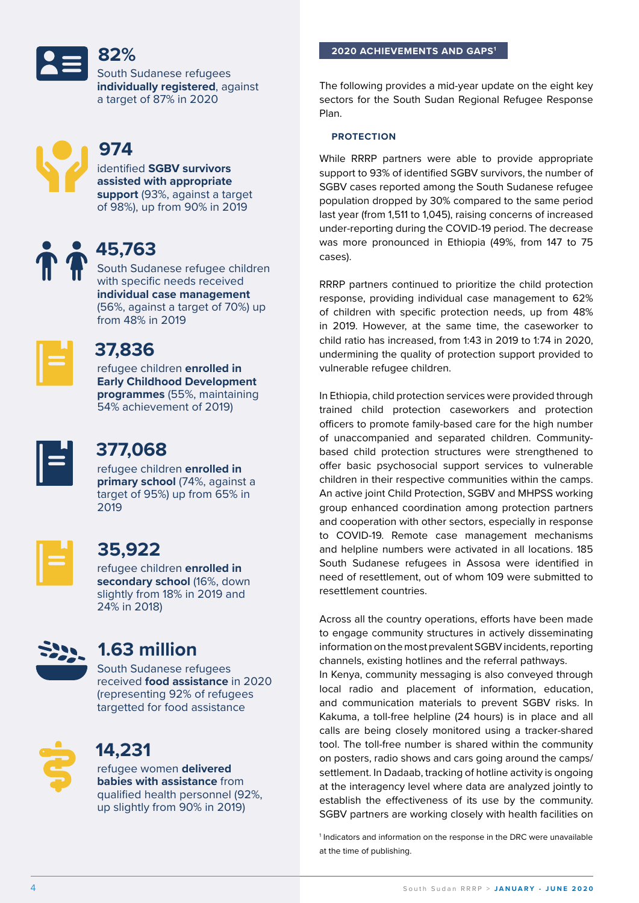**2020 ACHIEVEMENTS AND GAPS1**

South Sudanese refugees **individually registered**, against a target of 87% in 2020



## **974**

**82%**

identified **SGBV survivors assisted with appropriate support** (93%, against a target of 98%), up from 90% in 2019



## **45,763**

South Sudanese refugee children with specific needs received **individual case management** (56%, against a target of 70%) up from 48% in 2019



## **37,836**

refugee children **enrolled in Early Childhood Development programmes** (55%, maintaining 54% achievement of 2019)



## **377,068**

refugee children **enrolled in primary school** (74%, against a target of 95%) up from 65% in 2019



## **35,922**

refugee children **enrolled in secondary school** (16%, down slightly from 18% in 2019 and 24% in 2018)



## **1.63 million**

South Sudanese refugees received **food assistance** in 2020 (representing 92% of refugees targetted for food assistance



## **14,231**

refugee women **delivered babies with assistance** from qualified health personnel (92%, up slightly from 90% in 2019)

The following provides a mid-year update on the eight key sectors for the South Sudan Regional Refugee Response Plan.

#### **PROTECTION**

While RRRP partners were able to provide appropriate support to 93% of identified SGBV survivors, the number of SGBV cases reported among the South Sudanese refugee population dropped by 30% compared to the same period last year (from 1,511 to 1,045), raising concerns of increased under-reporting during the COVID-19 period. The decrease was more pronounced in Ethiopia (49%, from 147 to 75 cases).

RRRP partners continued to prioritize the child protection response, providing individual case management to 62% of children with specific protection needs, up from 48% in 2019. However, at the same time, the caseworker to child ratio has increased, from 1:43 in 2019 to 1:74 in 2020, undermining the quality of protection support provided to vulnerable refugee children.

In Ethiopia, child protection services were provided through trained child protection caseworkers and protection officers to promote family-based care for the high number of unaccompanied and separated children. Communitybased child protection structures were strengthened to offer basic psychosocial support services to vulnerable children in their respective communities within the camps. An active joint Child Protection, SGBV and MHPSS working group enhanced coordination among protection partners and cooperation with other sectors, especially in response to COVID-19. Remote case management mechanisms and helpline numbers were activated in all locations. 185 South Sudanese refugees in Assosa were identified in need of resettlement, out of whom 109 were submitted to resettlement countries.

Across all the country operations, efforts have been made to engage community structures in actively disseminating information on the most prevalent SGBV incidents, reporting channels, existing hotlines and the referral pathways.

In Kenya, community messaging is also conveyed through local radio and placement of information, education, and communication materials to prevent SGBV risks. In Kakuma, a toll-free helpline (24 hours) is in place and all calls are being closely monitored using a tracker-shared tool. The toll-free number is shared within the community on posters, radio shows and cars going around the camps/ settlement. In Dadaab, tracking of hotline activity is ongoing at the interagency level where data are analyzed jointly to establish the effectiveness of its use by the community. SGBV partners are working closely with health facilities on

<sup>1</sup> Indicators and information on the response in the DRC were unavailable at the time of publishing.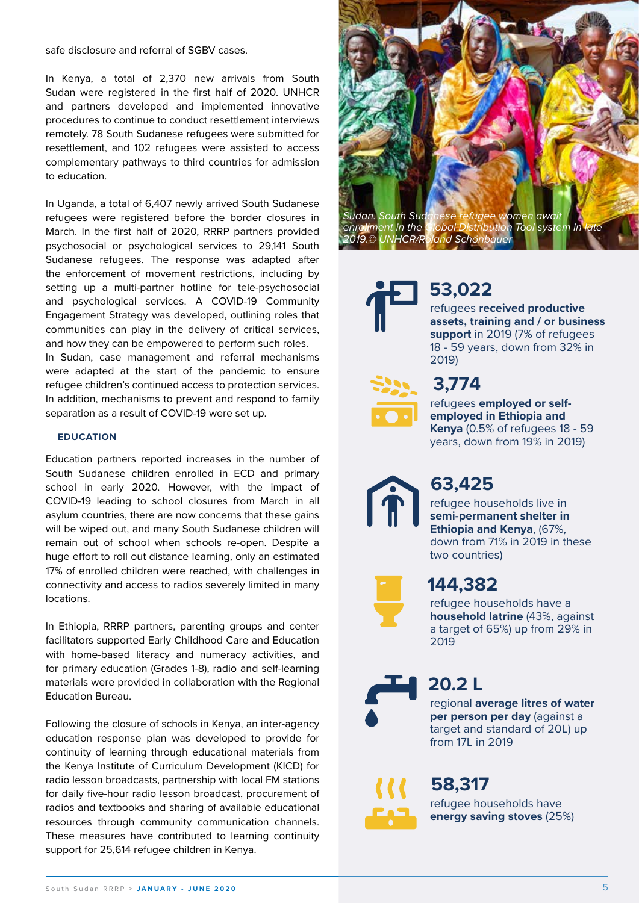safe disclosure and referral of SGBV cases.

In Kenya, a total of 2,370 new arrivals from South Sudan were registered in the first half of 2020. UNHCR and partners developed and implemented innovative procedures to continue to conduct resettlement interviews remotely. 78 South Sudanese refugees were submitted for resettlement, and 102 refugees were assisted to access complementary pathways to third countries for admission to education.

In Uganda, a total of 6,407 newly arrived South Sudanese refugees were registered before the border closures in March. In the first half of 2020, RRRP partners provided psychosocial or psychological services to 29,141 South Sudanese refugees. The response was adapted after the enforcement of movement restrictions, including by setting up a multi-partner hotline for tele-psychosocial and psychological services. A COVID-19 Community Engagement Strategy was developed, outlining roles that communities can play in the delivery of critical services, and how they can be empowered to perform such roles.

In Sudan, case management and referral mechanisms were adapted at the start of the pandemic to ensure refugee children's continued access to protection services. In addition, mechanisms to prevent and respond to family separation as a result of COVID-19 were set up.

#### **EDUCATION**

Education partners reported increases in the number of South Sudanese children enrolled in ECD and primary school in early 2020. However, with the impact of COVID-19 leading to school closures from March in all asylum countries, there are now concerns that these gains will be wiped out, and many South Sudanese children will remain out of school when schools re-open. Despite a huge effort to roll out distance learning, only an estimated 17% of enrolled children were reached, with challenges in connectivity and access to radios severely limited in many locations.

In Ethiopia, RRRP partners, parenting groups and center facilitators supported Early Childhood Care and Education with home-based literacy and numeracy activities, and for primary education (Grades 1-8), radio and self-learning materials were provided in collaboration with the Regional Education Bureau.

Following the closure of schools in Kenya, an inter-agency education response plan was developed to provide for continuity of learning through educational materials from the Kenya Institute of Curriculum Development (KICD) for radio lesson broadcasts, partnership with local FM stations for daily five-hour radio lesson broadcast, procurement of radios and textbooks and sharing of available educational resources through community communication channels. These measures have contributed to learning continuity support for 25,614 refugee children in Kenya.





## **53,022**

refugees **received productive assets, training and / or business support** in 2019 (7% of refugees 18 - 59 years, down from 32% in 2019)

### **3,774**

refugees **employed or selfemployed in Ethiopia and Kenya** (0.5% of refugees 18 - 59 years, down from 19% in 2019)

## **63,425**

refugee households live in **semi-permanent shelter in Ethiopia and Kenya**, (67%, down from 71% in 2019 in these two countries)



### **144,382**

refugee households have a **household latrine** (43%, against a target of 65%) up from 29% in 2019



**20.2 L**

regional **average litres of water per person per day** (against a target and standard of 20L) up from 17L in 2019

refugee households have **energy saving stoves** (25%) **58,317**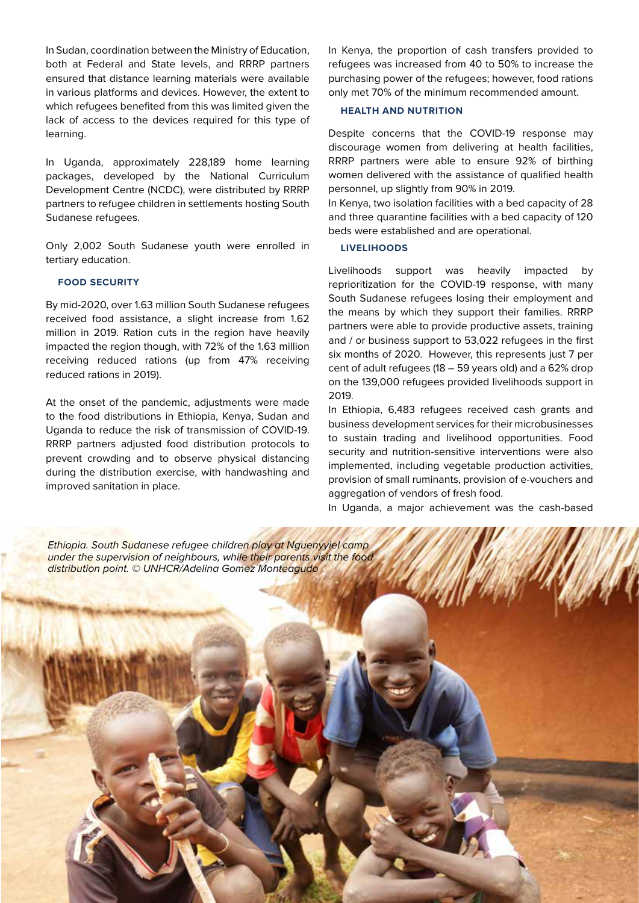In Sudan, coordination between the Ministry of Education, both at Federal and State levels, and RRRP partners ensured that distance learning materials were available in various platforms and devices. However, the extent to which refugees benefited from this was limited given the lack of access to the devices required for this type of learning.

In Uganda, approximately 228,189 home learning packages, developed by the National Curriculum Development Centre (NCDC), were distributed by RRRP partners to refugee children in settlements hosting South Sudanese refugees.

Only 2,002 South Sudanese youth were enrolled in tertiary education.

#### **FOOD SECURITY**

By mid-2020, over 1.63 million South Sudanese refugees received food assistance, a slight increase from 1.62 million in 2019. Ration cuts in the region have heavily impacted the region though, with 72% of the 1.63 million receiving reduced rations (up from 47% receiving reduced rations in 2019).

At the onset of the pandemic, adjustments were made to the food distributions in Ethiopia, Kenya, Sudan and Uganda to reduce the risk of transmission of COVID-19. RRRP partners adjusted food distribution protocols to prevent crowding and to observe physical distancing during the distribution exercise, with handwashing and improved sanitation in place.

In Kenya, the proportion of cash transfers provided to refugees was increased from 40 to 50% to increase the purchasing power of the refugees; however, food rations only met 70% of the minimum recommended amount.

#### **HEALTH AND NUTRITION**

Despite concerns that the COVID-19 response may discourage women from delivering at health facilities, RRRP partners were able to ensure 92% of birthing women delivered with the assistance of qualified health personnel, up slightly from 90% in 2019.

In Kenya, two isolation facilities with a bed capacity of 28 and three quarantine facilities with a bed capacity of 120 beds were established and are operational.

#### **LIVELIHOODS**

Livelihoods support was heavily impacted by reprioritization for the COVID-19 response, with many South Sudanese refugees losing their employment and the means by which they support their families. RRRP partners were able to provide productive assets, training and / or business support to 53,022 refugees in the first six months of 2020. However, this represents just 7 per cent of adult refugees (18 – 59 years old) and a 62% drop on the 139,000 refugees provided livelihoods support in 2019.

In Ethiopia, 6,483 refugees received cash grants and business development services for their microbusinesses to sustain trading and livelihood opportunities. Food security and nutrition-sensitive interventions were also implemented, including vegetable production activities, provision of small ruminants, provision of e-vouchers and aggregation of vendors of fresh food.

In Uganda, a major achievement was the cash-based

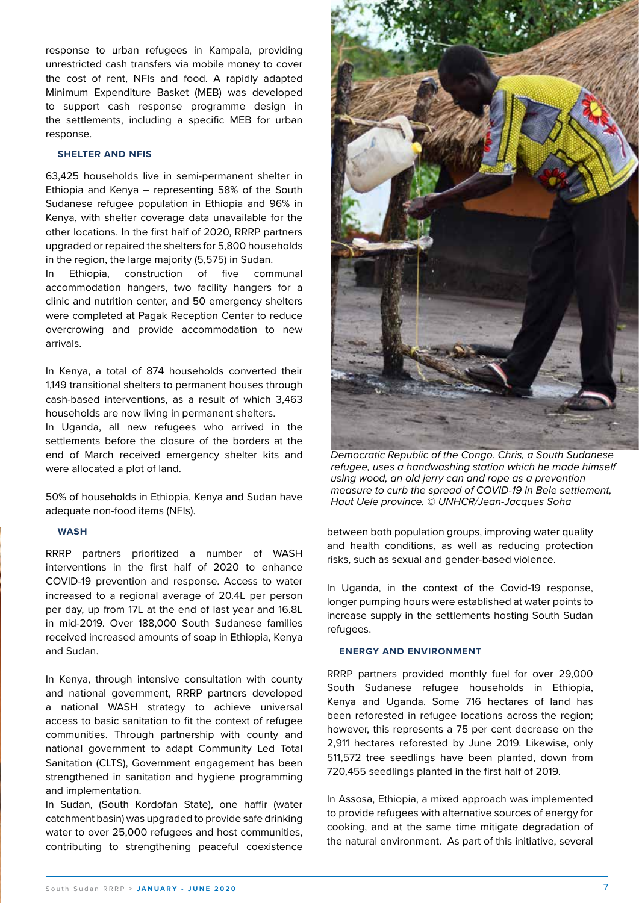response to urban refugees in Kampala, providing unrestricted cash transfers via mobile money to cover the cost of rent, NFIs and food. A rapidly adapted Minimum Expenditure Basket (MEB) was developed to support cash response programme design in the settlements, including a specific MEB for urban response.

#### **SHELTER AND NFIS**

63,425 households live in semi-permanent shelter in Ethiopia and Kenya – representing 58% of the South Sudanese refugee population in Ethiopia and 96% in Kenya, with shelter coverage data unavailable for the other locations. In the first half of 2020, RRRP partners upgraded or repaired the shelters for 5,800 households in the region, the large majority (5,575) in Sudan.

In Ethiopia, construction of five communal accommodation hangers, two facility hangers for a clinic and nutrition center, and 50 emergency shelters were completed at Pagak Reception Center to reduce overcrowing and provide accommodation to new arrivals.

In Kenya, a total of 874 households converted their 1,149 transitional shelters to permanent houses through cash-based interventions, as a result of which 3,463 households are now living in permanent shelters.

In Uganda, all new refugees who arrived in the settlements before the closure of the borders at the end of March received emergency shelter kits and were allocated a plot of land.

50% of households in Ethiopia, Kenya and Sudan have adequate non-food items (NFIs).

#### **WASH**

RRRP partners prioritized a number of WASH interventions in the first half of 2020 to enhance COVID-19 prevention and response. Access to water increased to a regional average of 20.4L per person per day, up from 17L at the end of last year and 16.8L in mid-2019. Over 188,000 South Sudanese families received increased amounts of soap in Ethiopia, Kenya and Sudan.

In Kenya, through intensive consultation with county and national government, RRRP partners developed a national WASH strategy to achieve universal access to basic sanitation to fit the context of refugee communities. Through partnership with county and national government to adapt Community Led Total Sanitation (CLTS), Government engagement has been strengthened in sanitation and hygiene programming and implementation.

In Sudan, (South Kordofan State), one haffir (water catchment basin) was upgraded to provide safe drinking water to over 25,000 refugees and host communities, contributing to strengthening peaceful coexistence



*Democratic Republic of the Congo. Chris, a South Sudanese refugee, uses a handwashing station which he made himself using wood, an old jerry can and rope as a prevention measure to curb the spread of COVID-19 in Bele settlement, Haut Uele province. © UNHCR/Jean-Jacques Soha*

between both population groups, improving water quality and health conditions, as well as reducing protection risks, such as sexual and gender-based violence.

In Uganda, in the context of the Covid-19 response, longer pumping hours were established at water points to increase supply in the settlements hosting South Sudan refugees.

#### **ENERGY AND ENVIRONMENT**

RRRP partners provided monthly fuel for over 29,000 South Sudanese refugee households in Ethiopia, Kenya and Uganda. Some 716 hectares of land has been reforested in refugee locations across the region; however, this represents a 75 per cent decrease on the 2,911 hectares reforested by June 2019. Likewise, only 511,572 tree seedlings have been planted, down from 720,455 seedlings planted in the first half of 2019.

In Assosa, Ethiopia, a mixed approach was implemented to provide refugees with alternative sources of energy for cooking, and at the same time mitigate degradation of the natural environment. As part of this initiative, several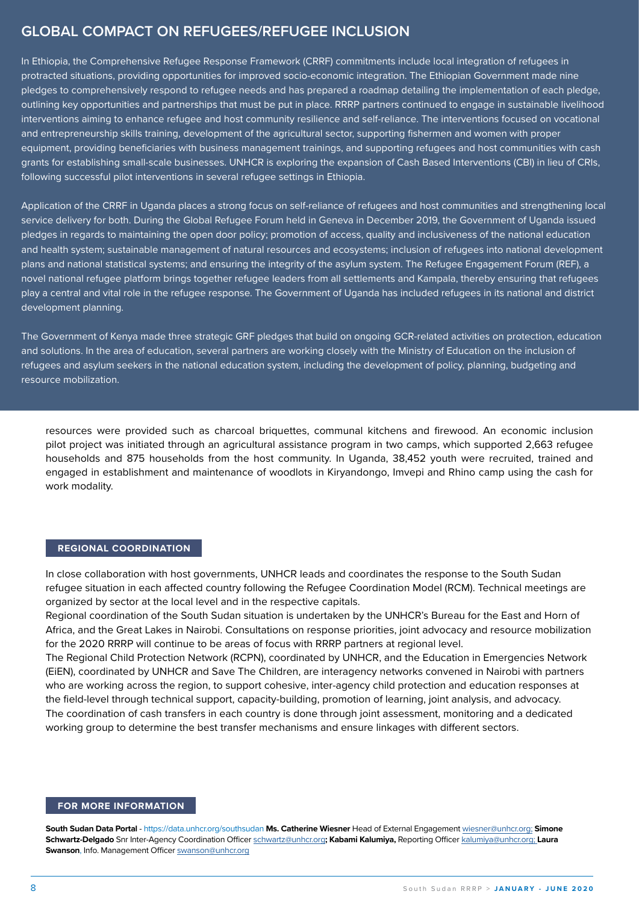### **GLOBAL COMPACT ON REFUGEES/REFUGEE INCLUSION**

In Ethiopia, the Comprehensive Refugee Response Framework (CRRF) commitments include local integration of refugees in protracted situations, providing opportunities for improved socio-economic integration. The Ethiopian Government made nine pledges to comprehensively respond to refugee needs and has prepared a roadmap detailing the implementation of each pledge, outlining key opportunities and partnerships that must be put in place. RRRP partners continued to engage in sustainable livelihood interventions aiming to enhance refugee and host community resilience and self-reliance. The interventions focused on vocational and entrepreneurship skills training, development of the agricultural sector, supporting fishermen and women with proper equipment, providing beneficiaries with business management trainings, and supporting refugees and host communities with cash grants for establishing small-scale businesses. UNHCR is exploring the expansion of Cash Based Interventions (CBI) in lieu of CRIs, following successful pilot interventions in several refugee settings in Ethiopia.

Application of the CRRF in Uganda places a strong focus on self-reliance of refugees and host communities and strengthening local service delivery for both. During the Global Refugee Forum held in Geneva in December 2019, the Government of Uganda issued pledges in regards to maintaining the open door policy; promotion of access, quality and inclusiveness of the national education and health system; sustainable management of natural resources and ecosystems; inclusion of refugees into national development plans and national statistical systems; and ensuring the integrity of the asylum system. The Refugee Engagement Forum (REF), a novel national refugee platform brings together refugee leaders from all settlements and Kampala, thereby ensuring that refugees play a central and vital role in the refugee response. The Government of Uganda has included refugees in its national and district development planning.

The Government of Kenya made three strategic GRF pledges that build on ongoing GCR-related activities on protection, education and solutions. In the area of education, several partners are working closely with the Ministry of Education on the inclusion of refugees and asylum seekers in the national education system, including the development of policy, planning, budgeting and resource mobilization.

resources were provided such as charcoal briquettes, communal kitchens and firewood. An economic inclusion pilot project was initiated through an agricultural assistance program in two camps, which supported 2,663 refugee households and 875 households from the host community. In Uganda, 38,452 youth were recruited, trained and engaged in establishment and maintenance of woodlots in Kiryandongo, Imvepi and Rhino camp using the cash for work modality.

#### **REGIONAL COORDINATION**

In close collaboration with host governments, UNHCR leads and coordinates the response to the South Sudan refugee situation in each affected country following the Refugee Coordination Model (RCM). Technical meetings are organized by sector at the local level and in the respective capitals.

Regional coordination of the South Sudan situation is undertaken by the UNHCR's Bureau for the East and Horn of Africa, and the Great Lakes in Nairobi. Consultations on response priorities, joint advocacy and resource mobilization for the 2020 RRRP will continue to be areas of focus with RRRP partners at regional level.

The Regional Child Protection Network (RCPN), coordinated by UNHCR, and the Education in Emergencies Network (EiEN), coordinated by UNHCR and Save The Children, are interagency networks convened in Nairobi with partners who are working across the region, to support cohesive, inter-agency child protection and education responses at the field-level through technical support, capacity-building, promotion of learning, joint analysis, and advocacy. The coordination of cash transfers in each country is done through joint assessment, monitoring and a dedicated working group to determine the best transfer mechanisms and ensure linkages with different sectors.

#### **FOR MORE INFORMATION**

**South Sudan Data Portal** - [https://data.unhcr.org/s](http://data.unhcr.org/SouthSudan/regional.php)outhsudan **Ms. Catherine Wiesner** Head of External Engagement [wiesner@unhcr.org;](mailto:wiesner%40unhcr.org%3B?subject=) **Simone Schwartz-Delgado** Snr Inter-Agency Coordination Officer [schwartz@unhcr.org](mailto:schwartz%40unhcr.org?subject=)**; Kabami Kalumiya,** Reporting Officer [kalumiya@unhcr.org;](mailto:kalumiya%40unhcr.org%3B%20?subject=) **Laura Swanson**, Info. Management Officer [swanson@unhcr.org](mailto:swanson%40unhcr.org?subject=)